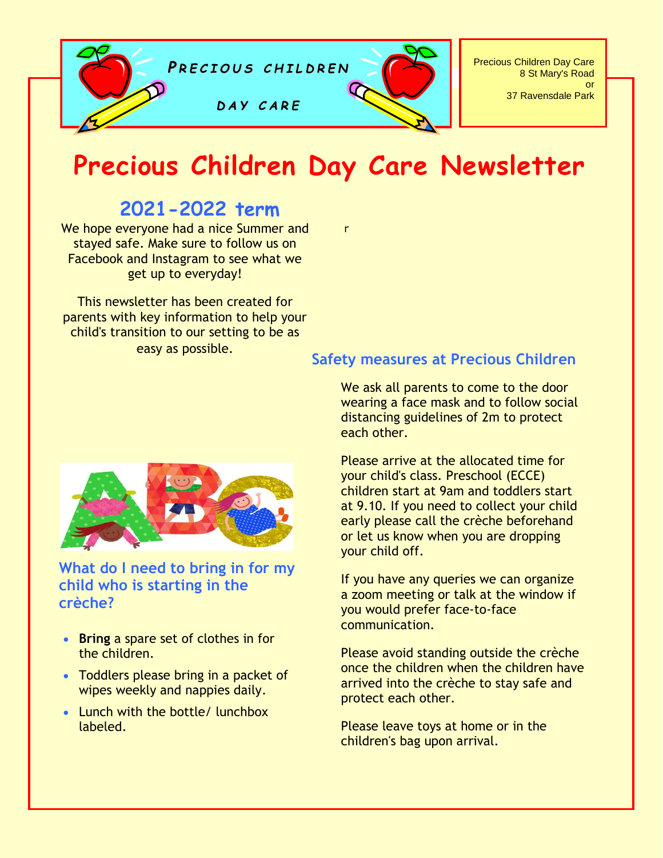

# **Precious Children Day Care Newsletter**

r

# **2021-2022 term**

We hope everyone had a nice Summer and stayed safe. Make sure to follow us on Facebook and Instagram to see what we get up to everyday!

This newsletter has been created for parents with key information to help your child's transition to our setting to be as easy as possible.



### **What do I need to bring in for my child who is starting in the crèche?**

- **Bring** a spare set of clothes in for the children.
- Toddlers please bring in a packet of wipes weekly and nappies daily.
- Lunch with the bottle/ lunchbox labeled.

#### **Safety measures at Precious Children**

We ask all parents to come to the door wearing a face mask and to follow social distancing guidelines of 2m to protect each other.

Please arrive at the allocated time for your child's class. Preschool (ECCE) children start at 9am and toddlers start at 9.10. If you need to collect your child early please call the crèche beforehand or let us know when you are dropping your child off.

If you have any queries we can organize a zoom meeting or talk at the window if you would prefer face-to-face communication.

Please avoid standing outside the crèche once the children when the children have arrived into the crèche to stay safe and protect each other.

Please leave toys at home or in the children's bag upon arrival.